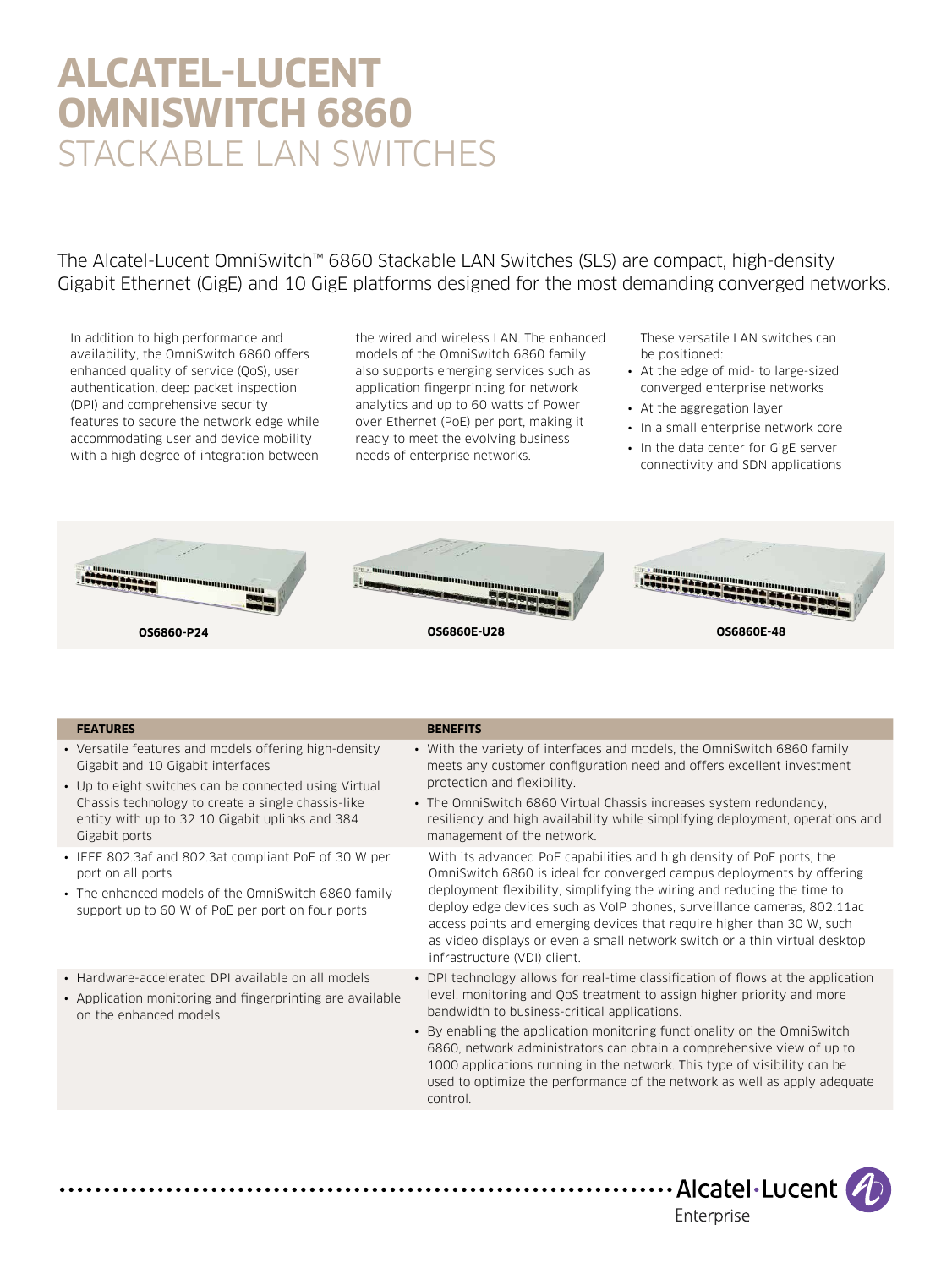# **ALCATEL-LUCENT OMNISWITCH 6860** STACKABLE LAN SWITCHES

The Alcatel-Lucent OmniSwitch™ 6860 Stackable LAN Switches (SLS) are compact, high-density Gigabit Ethernet (GigE) and 10 GigE platforms designed for the most demanding converged networks.

In addition to high performance and availability, the OmniSwitch 6860 offers enhanced quality of service (QoS), user authentication, deep packet inspection (DPI) and comprehensive security features to secure the network edge while accommodating user and device mobility with a high degree of integration between

the wired and wireless LAN. The enhanced models of the OmniSwitch 6860 family also supports emerging services such as application fingerprinting for network analytics and up to 60 watts of Power over Ethernet (PoE) per port, making it ready to meet the evolving business needs of enterprise networks.

These versatile LAN switches can be positioned:

- At the edge of mid- to large-sized converged enterprise networks
- At the aggregation layer
- In a small enterprise network core
- In the data center for GigE server connectivity and SDN applications



- Versatile features and models offering high-density Gigabit and 10 Gigabit interfaces
- Up to eight switches can be connected using Virtual Chassis technology to create a single chassis-like entity with up to 32 10 Gigabit uplinks and 384 Gigabit ports
- IEEE 802.3af and 802.3at compliant PoE of 30 W per port on all ports
- The enhanced models of the OmniSwitch 6860 family support up to 60 W of PoE per port on four ports
- Hardware-accelerated DPI available on all models
- Application monitoring and fingerprinting are available on the enhanced models
- **FEATURES BENEFITS**
	- With the variety of interfaces and models, the OmniSwitch 6860 family meets any customer configuration need and offers excellent investment protection and flexibility.
	- The OmniSwitch 6860 Virtual Chassis increases system redundancy, resiliency and high availability while simplifying deployment, operations and management of the network.
		- With its advanced PoE capabilities and high density of PoE ports, the OmniSwitch 6860 is ideal for converged campus deployments by offering deployment flexibility, simplifying the wiring and reducing the time to deploy edge devices such as VoIP phones, surveillance cameras, 802.11ac access points and emerging devices that require higher than 30 W, such as video displays or even a small network switch or a thin virtual desktop infrastructure (VDI) client.
	- DPI technology allows for real-time classification of flows at the application level, monitoring and QoS treatment to assign higher priority and more bandwidth to business-critical applications.
	- By enabling the application monitoring functionality on the OmniSwitch 6860, network administrators can obtain a comprehensive view of up to 1000 applications running in the network. This type of visibility can be used to optimize the performance of the network as well as apply adequate control.

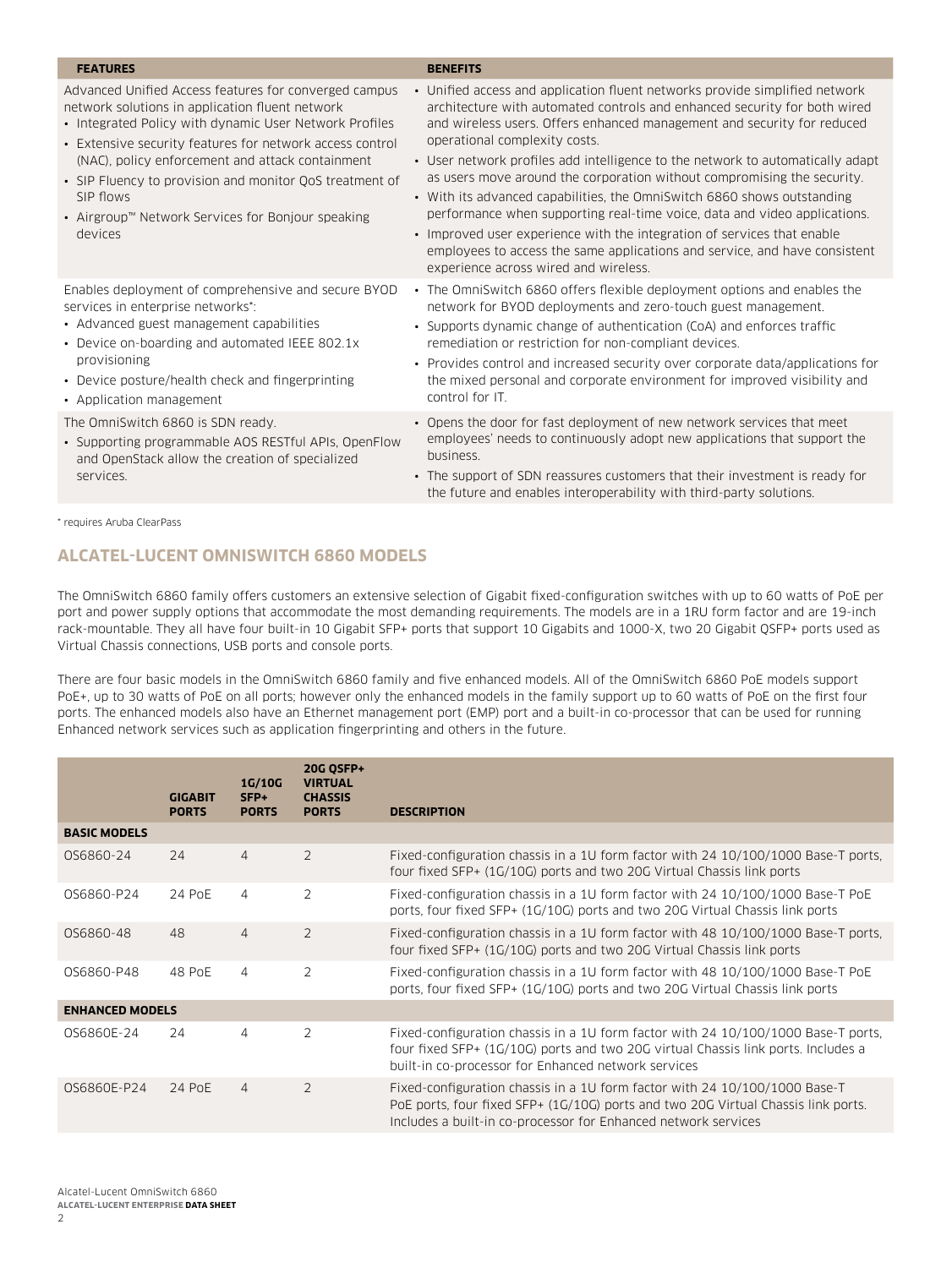| <b>FEATURES</b>                                                                                                                                                                                                                                                                                                                                                                                                            | <b>BENEFITS</b>                                                                                                                                                                                                                                                                                                                                                                                                                                                                                                                                                                                                                                                                                                                                                                             |
|----------------------------------------------------------------------------------------------------------------------------------------------------------------------------------------------------------------------------------------------------------------------------------------------------------------------------------------------------------------------------------------------------------------------------|---------------------------------------------------------------------------------------------------------------------------------------------------------------------------------------------------------------------------------------------------------------------------------------------------------------------------------------------------------------------------------------------------------------------------------------------------------------------------------------------------------------------------------------------------------------------------------------------------------------------------------------------------------------------------------------------------------------------------------------------------------------------------------------------|
| Advanced Unified Access features for converged campus<br>network solutions in application fluent network<br>• Integrated Policy with dynamic User Network Profiles<br>• Extensive security features for network access control<br>(NAC), policy enforcement and attack containment<br>• SIP Fluency to provision and monitor QoS treatment of<br>SIP flows<br>• Airgroup™ Network Services for Bonjour speaking<br>devices | • Unified access and application fluent networks provide simplified network<br>architecture with automated controls and enhanced security for both wired<br>and wireless users. Offers enhanced management and security for reduced<br>operational complexity costs.<br>• User network profiles add intelligence to the network to automatically adapt<br>as users move around the corporation without compromising the security.<br>• With its advanced capabilities, the OmniSwitch 6860 shows outstanding<br>performance when supporting real-time voice, data and video applications.<br>• Improved user experience with the integration of services that enable<br>employees to access the same applications and service, and have consistent<br>experience across wired and wireless. |
| Enables deployment of comprehensive and secure BYOD<br>services in enterprise networks*:<br>• Advanced guest management capabilities<br>• Device on-boarding and automated IEEE 802.1x<br>provisioning<br>• Device posture/health check and fingerprinting<br>• Application management                                                                                                                                     | • The OmniSwitch 6860 offers flexible deployment options and enables the<br>network for BYOD deployments and zero-touch guest management.<br>• Supports dynamic change of authentication (CoA) and enforces traffic<br>remediation or restriction for non-compliant devices.<br>• Provides control and increased security over corporate data/applications for<br>the mixed personal and corporate environment for improved visibility and<br>control for IT.                                                                                                                                                                                                                                                                                                                               |
| The OmniSwitch 6860 is SDN ready.<br>• Supporting programmable AOS RESTful APIs, OpenFlow<br>and OpenStack allow the creation of specialized<br>services.                                                                                                                                                                                                                                                                  | • Opens the door for fast deployment of new network services that meet<br>employees' needs to continuously adopt new applications that support the<br>business.<br>• The support of SDN reassures customers that their investment is ready for<br>the future and enables interoperability with third-party solutions.                                                                                                                                                                                                                                                                                                                                                                                                                                                                       |

\* requires Aruba ClearPass

# **ALCATEL-LUCENT OMNISWITCH 6860 MODELS**

The OmniSwitch 6860 family offers customers an extensive selection of Gigabit fixed-configuration switches with up to 60 watts of PoE per port and power supply options that accommodate the most demanding requirements. The models are in a 1RU form factor and are 19-inch rack-mountable. They all have four built-in 10 Gigabit SFP+ ports that support 10 Gigabits and 1000-X, two 20 Gigabit QSFP+ ports used as Virtual Chassis connections, USB ports and console ports.

There are four basic models in the OmniSwitch 6860 family and five enhanced models. All of the OmniSwitch 6860 PoE models support PoE+, up to 30 watts of PoE on all ports; however only the enhanced models in the family support up to 60 watts of PoE on the first four ports. The enhanced models also have an Ethernet management port (EMP) port and a built-in co-processor that can be used for running Enhanced network services such as application fingerprinting and others in the future.

|                        | <b>GIGABIT</b><br><b>PORTS</b> | 1G/10G<br>$SFP+$<br><b>PORTS</b> | 20G QSFP+<br><b>VIRTUAL</b><br><b>CHASSIS</b><br><b>PORTS</b> | <b>DESCRIPTION</b>                                                                                                                                                                                                                |
|------------------------|--------------------------------|----------------------------------|---------------------------------------------------------------|-----------------------------------------------------------------------------------------------------------------------------------------------------------------------------------------------------------------------------------|
| <b>BASIC MODELS</b>    |                                |                                  |                                                               |                                                                                                                                                                                                                                   |
| OS6860-24              | 24                             | $\overline{4}$                   | $\overline{2}$                                                | Fixed-configuration chassis in a 1U form factor with 24 10/100/1000 Base-T ports.<br>four fixed SFP+ (1G/10G) ports and two 20G Virtual Chassis link ports                                                                        |
| 0S6860-P24             | 24 PoE                         | $\overline{4}$                   | $\overline{2}$                                                | Fixed-configuration chassis in a 10 form factor with 24 10/100/1000 Base-T PoE<br>ports, four fixed SFP+ (1G/10G) ports and two 20G Virtual Chassis link ports                                                                    |
| OS6860-48              | 48                             | 4                                | $\overline{2}$                                                | Fixed-configuration chassis in a 1U form factor with 48 10/100/1000 Base-T ports,<br>four fixed SFP+ (1G/10G) ports and two 20G Virtual Chassis link ports                                                                        |
| OS6860-P48             | 48 PoE                         | $\overline{4}$                   | $\overline{2}$                                                | Fixed-configuration chassis in a 1U form factor with 48 10/100/1000 Base-T PoE<br>ports, four fixed SFP+ (1G/10G) ports and two 20G Virtual Chassis link ports                                                                    |
| <b>ENHANCED MODELS</b> |                                |                                  |                                                               |                                                                                                                                                                                                                                   |
| OS6860E-24             | 24                             | 4                                | $\overline{2}$                                                | Fixed-configuration chassis in a 1U form factor with 24 10/100/1000 Base-T ports.<br>four fixed SFP+ (1G/10G) ports and two 20G virtual Chassis link ports. Includes a<br>built-in co-processor for Enhanced network services     |
| 0S6860E-P24            | 24 PoE                         | $\overline{4}$                   | $\overline{2}$                                                | Fixed-configuration chassis in a 1U form factor with 24 10/100/1000 Base-T<br>PoE ports, four fixed SFP+ (1G/10G) ports and two 20G Virtual Chassis link ports.<br>Includes a built-in co-processor for Enhanced network services |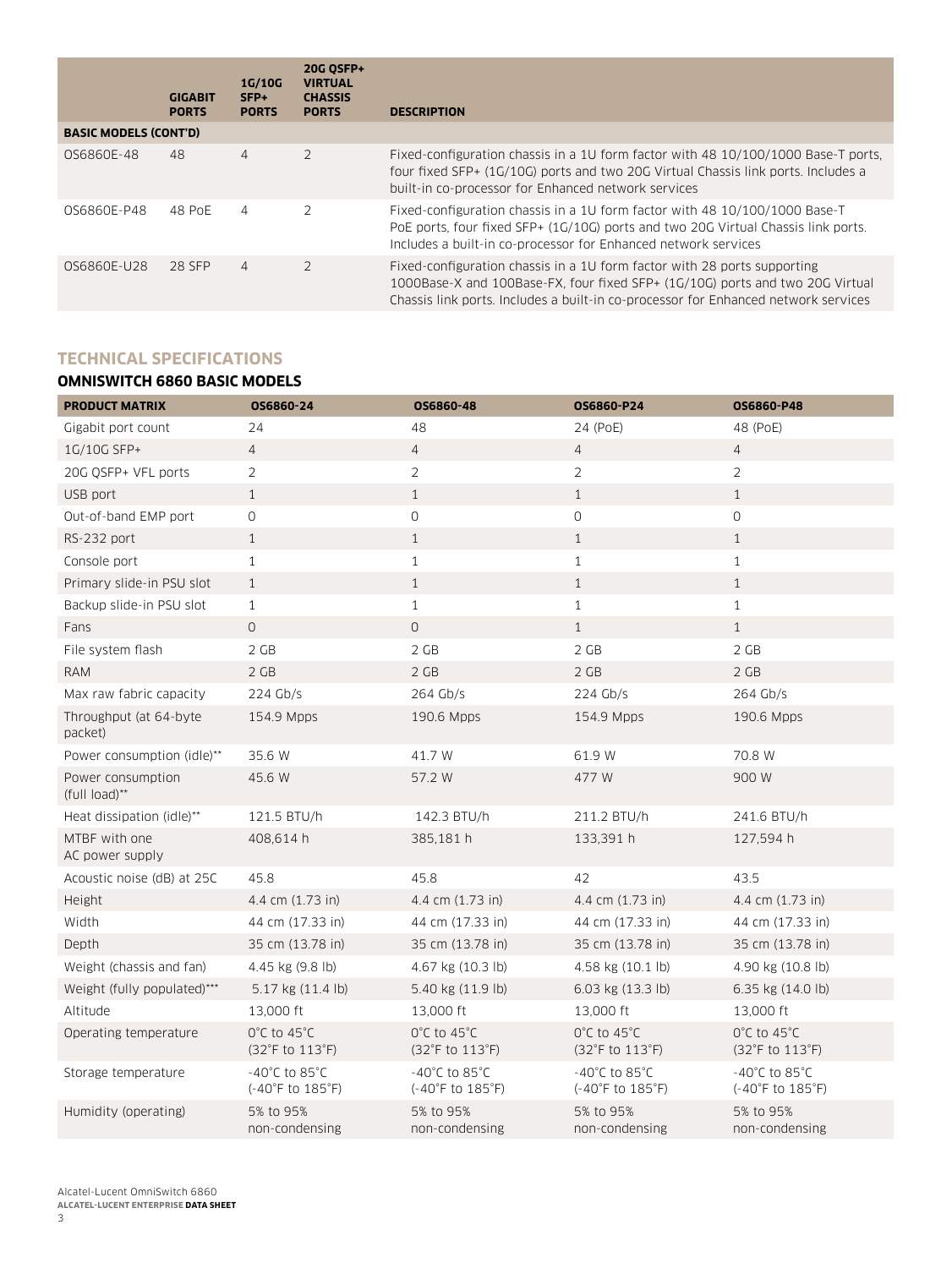|                              | <b>GIGABIT</b><br><b>PORTS</b> | 1G/10G<br>SFP+<br><b>PORTS</b> | <b>20G OSFP+</b><br><b>VIRTUAL</b><br><b>CHASSIS</b><br><b>PORTS</b> | <b>DESCRIPTION</b>                                                                                                                                                                                                                              |
|------------------------------|--------------------------------|--------------------------------|----------------------------------------------------------------------|-------------------------------------------------------------------------------------------------------------------------------------------------------------------------------------------------------------------------------------------------|
| <b>BASIC MODELS (CONT'D)</b> |                                |                                |                                                                      |                                                                                                                                                                                                                                                 |
| 0S6860E-48                   | 48                             | 4                              | $\overline{2}$                                                       | Fixed-configuration chassis in a 1U form factor with 48 10/100/1000 Base-T ports.<br>four fixed SFP+ (1G/10G) ports and two 20G Virtual Chassis link ports. Includes a<br>built-in co-processor for Enhanced network services                   |
| 0S6860E-P48                  | 48 PoE                         | 4                              | $\mathcal{P}$                                                        | Fixed-configuration chassis in a 1U form factor with 48 10/100/1000 Base-T<br>PoE ports, four fixed SFP+ (1G/10G) ports and two 20G Virtual Chassis link ports.<br>Includes a built-in co-processor for Enhanced network services               |
| 0S6860E-U28                  | 28 SFP                         | 4                              | $\overline{2}$                                                       | Fixed-configuration chassis in a 1U form factor with 28 ports supporting<br>1000Base-X and 100Base-FX, four fixed SFP+ (1G/10G) ports and two 20G Virtual<br>Chassis link ports. Includes a built-in co-processor for Enhanced network services |

# **TECHNICAL SPECIFICATIONS**

# **OMNISWITCH 6860 BASIC MODELS**

| <b>PRODUCT MATRIX</b>              | OS6860-24                                               | OS6860-48                                              | OS6860-P24                                          | OS6860-P48                                              |
|------------------------------------|---------------------------------------------------------|--------------------------------------------------------|-----------------------------------------------------|---------------------------------------------------------|
| Gigabit port count                 | 24                                                      | 48                                                     | 24 (PoE)                                            | 48 (PoE)                                                |
| 1G/10G SFP+                        | $\overline{4}$                                          | $\overline{4}$                                         | $\sqrt{4}$                                          | $\overline{4}$                                          |
| 20G OSFP+ VFL ports                | $\overline{2}$                                          | $\overline{2}$                                         | $\overline{2}$                                      | $\overline{2}$                                          |
| USB port                           | $\mathbf{1}$                                            | $\mathbf{1}$                                           | $\mathbf{1}$                                        | $\mathbf{1}$                                            |
| Out-of-band EMP port               | $\mathsf{O}\xspace$                                     | 0                                                      | $\mathsf{O}$                                        | $\mathsf{O}\xspace$                                     |
| RS-232 port                        | $\mathbf{1}$                                            | $\mathbf{1}$                                           | $\mathbf{1}$                                        | $\mathbf{1}$                                            |
| Console port                       | $\mathbf{1}$                                            | $\mathbf{1}$                                           | $\mathbf{1}$                                        | $\mathbf{1}$                                            |
| Primary slide-in PSU slot          | $\mathbf{1}$                                            | 1                                                      | $\mathbf{1}$                                        | $\mathbf{1}$                                            |
| Backup slide-in PSU slot           | $\mathbf{1}$                                            | $\mathbf{1}$                                           | $\mathbf{1}$                                        | $\mathbf{1}$                                            |
| Fans                               | $\mathbf 0$                                             | $\mathsf{O}$                                           | $\mathbf{1}$                                        | $\mathbf{1}$                                            |
| File system flash                  | 2 GB                                                    | 2 GB                                                   | 2 GB                                                | 2 GB                                                    |
| <b>RAM</b>                         | 2 GB                                                    | 2 GB                                                   | 2 GB                                                | 2 GB                                                    |
| Max raw fabric capacity            | 224 Gb/s                                                | 264 Gb/s                                               | 224 Gb/s                                            | 264 Gb/s                                                |
| Throughput (at 64-byte<br>packet)  | 154.9 Mpps                                              | 190.6 Mpps                                             | 154.9 Mpps                                          | 190.6 Mpps                                              |
| Power consumption (idle)**         | 35.6 W                                                  | 41.7 W                                                 | 61.9 W                                              | 70.8 W                                                  |
| Power consumption<br>(full load)** | 45.6 W                                                  | 57.2 W                                                 | 477 W                                               | 900 W                                                   |
| Heat dissipation (idle)**          | 121.5 BTU/h                                             | 142.3 BTU/h                                            | 211.2 BTU/h                                         | 241.6 BTU/h                                             |
| MTBF with one<br>AC power supply   | 408,614 h                                               | 385,181 h                                              | 133,391 h                                           | 127,594 h                                               |
| Acoustic noise (dB) at 25C         | 45.8                                                    | 45.8                                                   | 42                                                  | 43.5                                                    |
| Height                             | 4.4 cm (1.73 in)                                        | 4.4 cm (1.73 in)                                       | 4.4 cm (1.73 in)                                    | 4.4 cm (1.73 in)                                        |
| Width                              | 44 cm (17.33 in)                                        | 44 cm (17.33 in)                                       | 44 cm (17.33 in)                                    | 44 cm (17.33 in)                                        |
| Depth                              | 35 cm (13.78 in)                                        | 35 cm (13.78 in)                                       | 35 cm (13.78 in)                                    | 35 cm (13.78 in)                                        |
| Weight (chassis and fan)           | 4.45 kg (9.8 lb)                                        | 4.67 kg (10.3 lb)                                      | 4.58 kg $(10.1 \text{ lb})$                         | 4.90 kg (10.8 lb)                                       |
| Weight (fully populated)***        | 5.17 kg (11.4 lb)                                       | 5.40 kg (11.9 lb)                                      | 6.03 kg (13.3 lb)                                   | 6.35 kg (14.0 lb)                                       |
| Altitude                           | 13,000 ft                                               | 13,000 ft                                              | 13,000 ft                                           | 13,000 ft                                               |
| Operating temperature              | 0°C to 45°C<br>$(32^{\circ}F \text{ to } 113^{\circ}F)$ | 0°C to 45°C<br>(32°F to 113°F)                         | $0^{\circ}$ C to 45 $^{\circ}$ C<br>(32°F to 113°F) | 0°C to 45°C<br>(32°F to 113°F)                          |
| Storage temperature                | $-40^{\circ}$ C to 85 $^{\circ}$ C<br>(-40°F to 185°F)  | $-40^{\circ}$ C to 85 $^{\circ}$ C<br>(-40°F to 185°F) | -40°C to 85°C<br>(-40°F to 185°F)                   | -40 $^{\circ}$ C to 85 $^{\circ}$ C<br>(-40°F to 185°F) |
| Humidity (operating)               | 5% to 95%<br>non-condensing                             | 5% to 95%<br>non-condensing                            | 5% to 95%<br>non-condensing                         | 5% to 95%<br>non-condensing                             |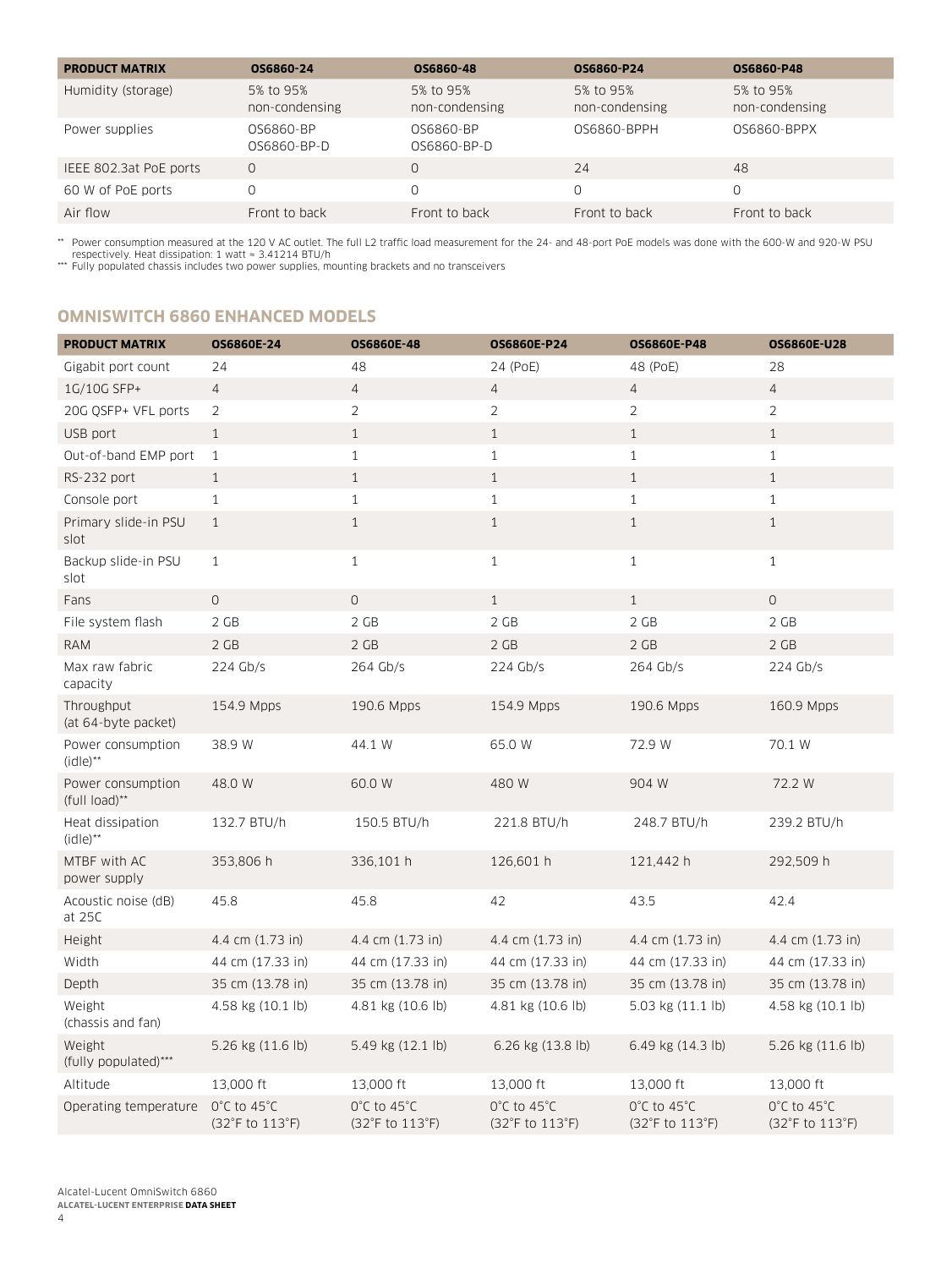| <b>PRODUCT MATRIX</b>  | OS6860-24                   | OS6860-48                   | OS6860-P24                  | OS6860-P48                  |
|------------------------|-----------------------------|-----------------------------|-----------------------------|-----------------------------|
| Humidity (storage)     | 5% to 95%<br>non-condensing | 5% to 95%<br>non-condensing | 5% to 95%<br>non-condensing | 5% to 95%<br>non-condensing |
| Power supplies         | 0S6860-BP<br>OS6860-BP-D    | 0S6860-BP<br>0S6860-BP-D    | 0S6860-BPPH                 | 0S6860-BPPX                 |
| IEEE 802.3at PoE ports | 0                           |                             | 24                          | 48                          |
| 60 W of PoE ports      |                             |                             | $\Omega$                    |                             |
| Air flow               | Front to back               | Front to back               | Front to back               | Front to back               |

\*\* Power consumption measured at the 120 V AC outlet. The full L2 traffic load measurement for the 24- and 48-port PoE models was done with the 600-W and 920-W PSU<br>respectively. Heat dissipation: 1 watt = 3.41214 BTU/h<br>\*\*\*

# **OMNISWITCH 6860 ENHANCED MODELS**

| <b>PRODUCT MATRIX</b>                       | OS6860E-24                     | OS6860E-48                     | <b>OS6860E-P24</b>             | <b>OS6860E-P48</b>                                  | <b>OS6860E-U28</b>                                  |
|---------------------------------------------|--------------------------------|--------------------------------|--------------------------------|-----------------------------------------------------|-----------------------------------------------------|
| Gigabit port count                          | 24                             | 48                             | 24 (PoE)                       | 48 (PoE)                                            | 28                                                  |
| 1G/10G SFP+                                 | $\overline{4}$                 | 4                              | $\overline{4}$                 | $\overline{4}$                                      | $\overline{4}$                                      |
| 20G QSFP+ VFL ports                         | 2                              | $\overline{2}$                 | $\overline{2}$                 | 2                                                   | $\overline{2}$                                      |
| USB port                                    | $\mathbf{1}$                   | $\mathbf{1}$                   | $\mathbf{1}$                   | $\mathbf{1}$                                        | $\mathbf{1}$                                        |
| Out-of-band EMP port                        | $\mathbf{1}$                   | $\mathbf{1}$                   | $\mathbf{1}$                   | $\mathbf{1}$                                        | $\mathbf{1}$                                        |
| RS-232 port                                 | $\mathbf{1}$                   | $\mathbf{1}$                   | $\mathbf{1}$                   | $\mathbf{1}$                                        | $\mathbf{1}$                                        |
| Console port                                | $\mathbf{1}$                   | $\,1\,$                        | $\mathbf{1}$                   | $\mathbf{1}$                                        | $\mathbf{1}$                                        |
| Primary slide-in PSU<br>slot                | $\mathbf{1}$                   | $\mathbf{1}$                   | $\mathbf{1}$                   | $\mathbf{1}$                                        | $\mathbf{1}$                                        |
| Backup slide-in PSU<br>slot                 | $\mathbf{1}$                   | $1\,$                          | $\mathbf{1}$                   | $\mathbf{1}$                                        | $\mathbf{1}$                                        |
| Fans                                        | $\circ$                        | $\mathsf{O}$                   | 1                              | $\mathbf{1}$                                        | $\circ$                                             |
| File system flash                           | 2 GB                           | 2 GB                           | 2 GB                           | 2 GB                                                | $2$ GB                                              |
| <b>RAM</b>                                  | 2 GB                           | 2 GB                           | 2 GB                           | 2 GB                                                | 2 GB                                                |
| Max raw fabric<br>capacity                  | 224 Gb/s                       | 264 Gb/s                       | 224 Gb/s                       | 264 Gb/s                                            | $224$ Gb/s                                          |
| Throughput<br>(at 64-byte packet)           | 154.9 Mpps                     | 190.6 Mpps                     | 154.9 Mpps                     | 190.6 Mpps                                          | 160.9 Mpps                                          |
| Power consumption<br>$(idle)$ <sup>**</sup> | 38.9 W                         | 44.1 W                         | 65.0 W                         | 72.9 W                                              | 70.1 W                                              |
| Power consumption<br>(full load)**          | 48.0 W                         | 60.0 W                         | 480 W                          | 904 W                                               | 72.2 W                                              |
| Heat dissipation<br>$(idle)$ <sup>**</sup>  | 132.7 BTU/h                    | 150.5 BTU/h                    | 221.8 BTU/h                    | 248.7 BTU/h                                         | 239.2 BTU/h                                         |
| MTBF with AC<br>power supply                | 353,806 h                      | 336,101 h                      | 126,601 h                      | 121,442 h                                           | 292,509 h                                           |
| Acoustic noise (dB)<br>at 25C               | 45.8                           | 45.8                           | 42                             | 43.5                                                | 42.4                                                |
| Height                                      | 4.4 cm (1.73 in)               | 4.4 cm (1.73 in)               | 4.4 cm (1.73 in)               | 4.4 cm (1.73 in)                                    | 4.4 cm (1.73 in)                                    |
| Width                                       | 44 cm (17.33 in)               | 44 cm (17.33 in)               | 44 cm (17.33 in)               | 44 cm (17.33 in)                                    | 44 cm (17.33 in)                                    |
| Depth                                       | 35 cm (13.78 in)               | 35 cm (13.78 in)               | 35 cm (13.78 in)               | 35 cm (13.78 in)                                    | 35 cm (13.78 in)                                    |
| Weight<br>(chassis and fan)                 | 4.58 kg (10.1 lb)              | 4.81 kg (10.6 lb)              | 4.81 kg (10.6 lb)              | 5.03 kg (11.1 lb)                                   | 4.58 kg (10.1 lb)                                   |
| Weight<br>(fully populated)***              | 5.26 kg (11.6 lb)              | 5.49 kg (12.1 lb)              | 6.26 kg (13.8 lb)              | 6.49 kg (14.3 lb)                                   | 5.26 kg (11.6 lb)                                   |
| Altitude                                    | 13,000 ft                      | 13,000 ft                      | 13,000 ft                      | 13,000 ft                                           | 13,000 ft                                           |
| Operating temperature                       | 0°C to 45°C<br>(32°F to 113°F) | 0°C to 45°C<br>(32°F to 113°F) | 0°C to 45°C<br>(32°F to 113°F) | $0^{\circ}$ C to 45 $^{\circ}$ C<br>(32°F to 113°F) | $0^{\circ}$ C to 45 $^{\circ}$ C<br>(32°F to 113°F) |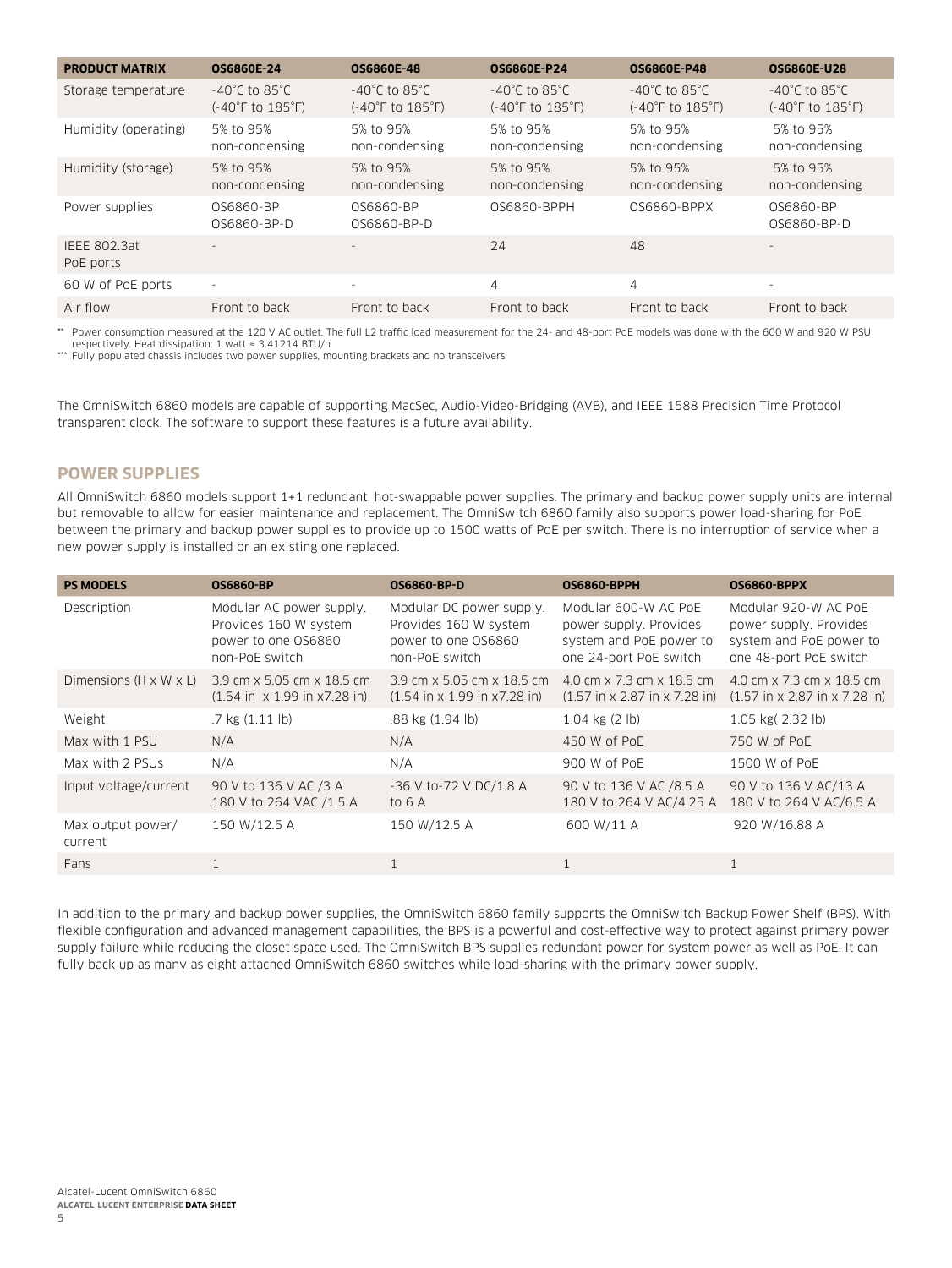| <b>PRODUCT MATRIX</b>            | <b>OS6860E-24</b>                                                          | <b>OS6860E-48</b>                                                          | <b>OS6860E-P24</b>                                                         | <b>OS6860E-P48</b>                                     | <b>OS6860E-U28</b>                                                         |
|----------------------------------|----------------------------------------------------------------------------|----------------------------------------------------------------------------|----------------------------------------------------------------------------|--------------------------------------------------------|----------------------------------------------------------------------------|
| Storage temperature              | $-40^{\circ}$ C to 85 $^{\circ}$ C<br>$(-40^{\circ}$ F to $185^{\circ}$ F) | $-40^{\circ}$ C to 85 $^{\circ}$ C<br>$(-40^{\circ}$ F to $185^{\circ}$ F) | $-40^{\circ}$ C to 85 $^{\circ}$ C<br>$(-40^{\circ}$ F to $185^{\circ}$ F) | -40°C to 85°C.<br>$(-40^{\circ}$ F to $185^{\circ}$ F) | $-40^{\circ}$ C to 85 $^{\circ}$ C<br>$(-40^{\circ}$ F to $185^{\circ}$ F) |
| Humidity (operating)             | 5% to 95%<br>non-condensing                                                | 5% to 95%<br>non-condensing                                                | 5% to 95%<br>non-condensing                                                | 5% to 95%<br>non-condensing                            | 5% to 95%<br>non-condensing                                                |
| Humidity (storage)               | 5% to 95%<br>non-condensing                                                | 5% to 95%<br>non-condensing                                                | 5% to 95%<br>non-condensing                                                | 5% to 95%<br>non-condensing                            | 5% to 95%<br>non-condensing                                                |
| Power supplies                   | 0S6860-BP<br>0S6860-BP-D                                                   | 0S6860-BP<br>0S6860-BP-D                                                   | 0S6860-BPPH                                                                | OS6860-BPPX                                            | 0S6860-BP<br>0S6860-BP-D                                                   |
| <b>IEEE 802.3at</b><br>PoE ports | $\sim$                                                                     | $\overline{\phantom{a}}$                                                   | 24                                                                         | 48                                                     |                                                                            |
| 60 W of PoE ports                | $\overline{\phantom{a}}$                                                   | $\sim$                                                                     | 4                                                                          | 4                                                      | $\overline{\phantom{a}}$                                                   |
| Air flow                         | Front to back                                                              | Front to back                                                              | Front to back                                                              | Front to back                                          | Front to back                                                              |

\*\* Power consumption measured at the 120 V AC outlet. The full L2 traffic load measurement for the 24- and 48-port PoE models was done with the 600 W and 920 W PSU respectively. Heat dissipation: 1 watt ≈ 3.41214 BTU/h

\*\*\* Fully populated chassis includes two power supplies, mounting brackets and no transceivers

The OmniSwitch 6860 models are capable of supporting MacSec, Audio-Video-Bridging (AVB), and IEEE 1588 Precision Time Protocol transparent clock. The software to support these features is a future availability.

#### **POWER SUPPLIES**

All OmniSwitch 6860 models support 1+1 redundant, hot-swappable power supplies. The primary and backup power supply units are internal but removable to allow for easier maintenance and replacement. The OmniSwitch 6860 family also supports power load-sharing for PoE between the primary and backup power supplies to provide up to 1500 watts of PoE per switch. There is no interruption of service when a new power supply is installed or an existing one replaced.

| <b>PS MODELS</b>                   | <b>OS6860-BP</b>                                                                           | <b>OS6860-BP-D</b>                                                                              | <b>OS6860-BPPH</b>                                                                                  | <b>OS6860-BPPX</b>                                                                                  |
|------------------------------------|--------------------------------------------------------------------------------------------|-------------------------------------------------------------------------------------------------|-----------------------------------------------------------------------------------------------------|-----------------------------------------------------------------------------------------------------|
| Description                        | Modular AC power supply.<br>Provides 160 W system<br>power to one OS6860<br>non-PoE switch | Modular DC power supply.<br>Provides 160 W system<br>power to one OS6860<br>non-PoE switch      | Modular 600-W AC PoE<br>power supply. Provides<br>system and PoE power to<br>one 24-port PoE switch | Modular 920-W AC PoE<br>power supply. Provides<br>system and PoE power to<br>one 48-port PoE switch |
| Dimensions $(H \times W \times L)$ | 3.9 cm x 5.05 cm x 18.5 cm<br>$(1.54 \text{ in } x 1.99 \text{ in } x7.28 \text{ in})$     | 3.9 cm x 5.05 cm x 18.5 cm<br>$(1.54 \text{ in} \times 1.99 \text{ in} \times 7.28 \text{ in})$ | 4.0 cm x 7.3 cm x 18.5 cm<br>$(1.57 \text{ in} \times 2.87 \text{ in} \times 7.28 \text{ in})$      | 4.0 cm x 7.3 cm x 18.5 cm<br>$(1.57 \text{ in} \times 2.87 \text{ in} \times 7.28 \text{ in})$      |
| Weight                             | $.7$ kg $(1.11$ lb)                                                                        | .88 kg (1.94 lb)                                                                                | $1.04$ kg $(2 \text{ lb})$                                                                          | 1.05 kg(2.32 lb)                                                                                    |
| Max with 1 PSU                     | N/A                                                                                        | N/A                                                                                             | 450 W of PoE                                                                                        | 750 W of PoE                                                                                        |
| Max with 2 PSUs                    | N/A                                                                                        | N/A                                                                                             | 900 W of PoE                                                                                        | 1500 W of PoE                                                                                       |
| Input voltage/current              | 90 V to 136 V AC /3 A<br>180 V to 264 VAC /1.5 A                                           | -36 V to-72 V DC/1.8 A<br>to 6 A                                                                | 90 V to 136 V AC /8.5 A<br>180 V to 264 V AC/4.25 A                                                 | 90 V to 136 V AC/13 A<br>180 V to 264 V AC/6.5 A                                                    |
| Max output power/<br>current       | 150 W/12.5 A                                                                               | 150 W/12.5 A                                                                                    | 600 W/11 A                                                                                          | 920 W/16.88 A                                                                                       |
| Fans                               |                                                                                            | 1                                                                                               | 1                                                                                                   | $\mathbf 1$                                                                                         |

In addition to the primary and backup power supplies, the OmniSwitch 6860 family supports the OmniSwitch Backup Power Shelf (BPS). With flexible configuration and advanced management capabilities, the BPS is a powerful and cost-effective way to protect against primary power supply failure while reducing the closet space used. The OmniSwitch BPS supplies redundant power for system power as well as PoE. It can fully back up as many as eight attached OmniSwitch 6860 switches while load-sharing with the primary power supply.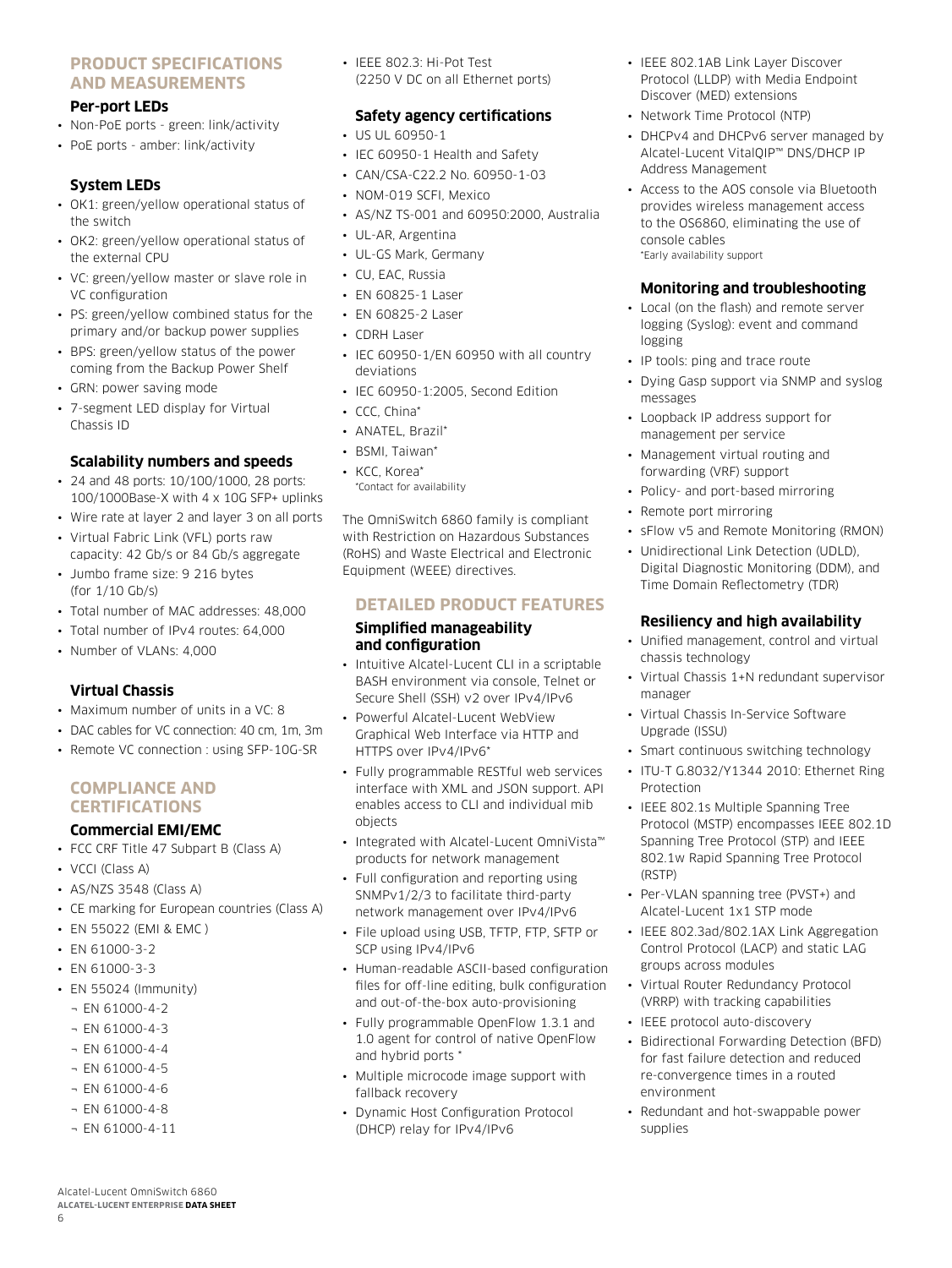### **PRODUCT SPECIFICATIONS AND MEASUREMENTS**

#### **Per-port LEDs**

- Non-PoE ports green: link/activity
- PoE ports amber: link/activity

#### **System LEDs**

- OK1: green/yellow operational status of the switch
- OK2: green/yellow operational status of the external CPU
- VC: green/yellow master or slave role in VC configuration
- PS: green/yellow combined status for the primary and/or backup power supplies
- BPS: green/yellow status of the power coming from the Backup Power Shelf
- GRN: power saving mode
- 7-segment LED display for Virtual Chassis ID

#### **Scalability numbers and speeds**

- 24 and 48 ports: 10/100/1000, 28 ports: 100/1000Base-X with 4 x 10G SFP+ uplinks
- Wire rate at layer 2 and layer 3 on all ports
- Virtual Fabric Link (VFL) ports raw capacity: 42 Gb/s or 84 Gb/s aggregate
- Jumbo frame size: 9 216 bytes (for 1/10 Gb/s)
- Total number of MAC addresses: 48,000
- Total number of IPv4 routes: 64,000
- Number of VLANs: 4,000

# **Virtual Chassis**

- Maximum number of units in a VC: 8
- DAC cables for VC connection: 40 cm, 1m, 3m
- Remote VC connection : using SFP-10G-SR

#### **COMPLIANCE AND CERTIFICATIONS**

#### **Commercial EMI/EMC**

- FCC CRF Title 47 Subpart B (Class A)
- VCCI (Class A)
- AS/NZS 3548 (Class A)
- CE marking for European countries (Class A)
- EN 55022 (EMI & EMC )
- EN 61000-3-2
- EN 61000-3-3
- EN 55024 (Immunity)
	- $\neg$  EN 61000-4-2
	- $\neg$  EN 61000-4-3
	- $\neg$  EN 61000-4-4
	- $\neg$  EN 61000-4-5
	- ¬ EN 61000-4-6
	- $\neg$  EN 61000-4-8
	- ¬ EN 61000-4-11

Alcatel-Lucent OmniSwitch 6860 **ALCATEL-LUCENT ENTERPRISE DATA SHEET**

6

• IEEE 802.3: Hi-Pot Test (2250 V DC on all Ethernet ports)

#### **Safety agency certifications**

- US UL 60950-1
- IEC 60950-1 Health and Safety
- CAN/CSA-C22.2 No. 60950-1-03
- NOM-019 SCFI, Mexico
- AS/NZ TS-001 and 60950:2000, Australia
- UL-AR, Argentina
- UL-GS Mark, Germany
- CU, EAC, Russia
- EN 60825-1 Laser
- EN 60825-2 Laser
- CDRH Laser
- IEC 60950-1/EN 60950 with all country deviations
- IEC 60950-1:2005, Second Edition
- CCC, China\*
- ANATEL, Brazil\*
- BSMI, Taiwan\*
- KCC, Korea\* \*Contact for availability

The OmniSwitch 6860 family is compliant with Restriction on Hazardous Substances (RoHS) and Waste Electrical and Electronic Equipment (WEEE) directives.

#### **DETAILED PRODUCT FEATURES**

#### **Simplified manageability and configuration**

- Intuitive Alcatel-Lucent CLI in a scriptable BASH environment via console, Telnet or Secure Shell (SSH) v2 over IPv4/IPv6
- Powerful Alcatel-Lucent WebView Graphical Web Interface via HTTP and HTTPS over IPv4/IPv6\*
- Fully programmable RESTful web services interface with XML and JSON support. API enables access to CLI and individual mib objects
- Integrated with Alcatel-Lucent OmniVista™ products for network management
- Full configuration and reporting using SNMPv1/2/3 to facilitate third-party network management over IPv4/IPv6
- File upload using USB, TFTP, FTP, SFTP or SCP using IPv4/IPv6
- Human-readable ASCII-based configuration files for off-line editing, bulk configuration and out-of-the-box auto-provisioning
- Fully programmable OpenFlow 1.3.1 and 1.0 agent for control of native OpenFlow and hybrid ports \*
- Multiple microcode image support with fallback recovery
- Dynamic Host Configuration Protocol (DHCP) relay for IPv4/IPv6
- IEEE 802.1AB Link Layer Discover Protocol (LLDP) with Media Endpoint Discover (MED) extensions
- Network Time Protocol (NTP)
- DHCPv4 and DHCPv6 server managed by Alcatel-Lucent VitalQIP™ DNS/DHCP IP Address Management
- Access to the AOS console via Bluetooth provides wireless management access to the OS6860, eliminating the use of console cables \*Early availability support

#### **Monitoring and troubleshooting**

- Local (on the flash) and remote server logging (Syslog): event and command logging
- IP tools: ping and trace route
- Dying Gasp support via SNMP and syslog messages
- Loopback IP address support for management per service
- Management virtual routing and forwarding (VRF) support
- Policy- and port-based mirroring
- Remote port mirroring
- sFlow v5 and Remote Monitoring (RMON)
- Unidirectional Link Detection (UDLD), Digital Diagnostic Monitoring (DDM), and Time Domain Reflectometry (TDR)

#### **Resiliency and high availability**

- Unified management, control and virtual chassis technology
- Virtual Chassis 1+N redundant supervisor manager
- Virtual Chassis In-Service Software Upgrade (ISSU)
- Smart continuous switching technology
- ITU-T G.8032/Y1344 2010: Ethernet Ring Protection
- IEEE 802.1s Multiple Spanning Tree Protocol (MSTP) encompasses IEEE 802.1D Spanning Tree Protocol (STP) and IEEE 802.1w Rapid Spanning Tree Protocol (RSTP)
- Per-VLAN spanning tree (PVST+) and Alcatel-Lucent 1x1 STP mode
- IEEE 802.3ad/802.1AX Link Aggregation Control Protocol (LACP) and static LAG groups across modules
- Virtual Router Redundancy Protocol (VRRP) with tracking capabilities
- IEEE protocol auto-discovery
- Bidirectional Forwarding Detection (BFD) for fast failure detection and reduced re-convergence times in a routed environment
- Redundant and hot-swappable power supplies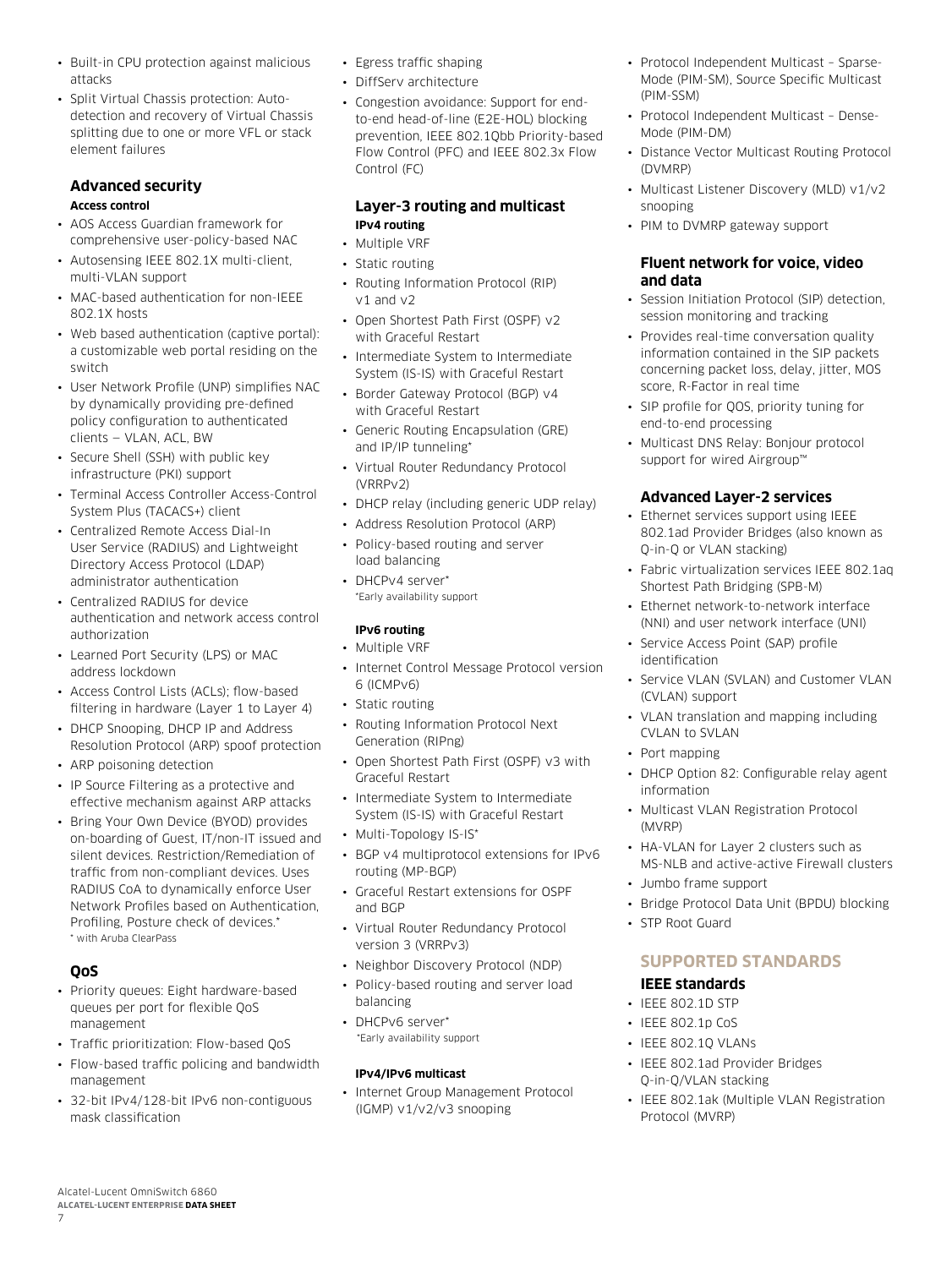- Built-in CPU protection against malicious attacks
- Split Virtual Chassis protection: Autodetection and recovery of Virtual Chassis splitting due to one or more VFL or stack element failures

#### **Advanced security Access control**

- AOS Access Guardian framework for comprehensive user-policy-based NAC
- Autosensing IEEE 802.1X multi-client, multi-VLAN support
- MAC-based authentication for non-IEEE 802.1X hosts
- Web based authentication (captive portal): a customizable web portal residing on the switch
- User Network Profile (UNP) simplifies NAC by dynamically providing pre-defined policy configuration to authenticated clients — VLAN, ACL, BW
- Secure Shell (SSH) with public key infrastructure (PKI) support
- Terminal Access Controller Access-Control System Plus (TACACS+) client
- Centralized Remote Access Dial-In User Service (RADIUS) and Lightweight Directory Access Protocol (LDAP) administrator authentication
- Centralized RADIUS for device authentication and network access control authorization
- Learned Port Security (LPS) or MAC address lockdown
- Access Control Lists (ACLs); flow-based filtering in hardware (Layer 1 to Layer 4)
- DHCP Snooping, DHCP IP and Address Resolution Protocol (ARP) spoof protection
- ARP poisoning detection
- IP Source Filtering as a protective and effective mechanism against ARP attacks
- Bring Your Own Device (BYOD) provides on-boarding of Guest, IT/non-IT issued and silent devices. Restriction/Remediation of traffic from non-compliant devices. Uses RADIUS CoA to dynamically enforce User Network Profiles based on Authentication, Profiling, Posture check of devices.\* \* with Aruba ClearPass

# **QoS**

- Priority queues: Eight hardware-based queues per port for flexible QoS management
- Traffic prioritization: Flow-based QoS
- Flow-based traffic policing and bandwidth management
- 32-bit IPv4/128-bit IPv6 non-contiguous mask classification
- Egress traffic shaping
- DiffServ architecture
- Congestion avoidance: Support for endto-end head-of-line (E2E-HOL) blocking prevention, IEEE 802.1Qbb Priority-based Flow Control (PFC) and IEEE 802.3x Flow Control (FC)

### **Layer-3 routing and multicast IPv4 routing**

- Multiple VRF
- Static routing
- Routing Information Protocol (RIP) v1 and v2
- Open Shortest Path First (OSPF) v2 with Graceful Restart
- Intermediate System to Intermediate System (IS-IS) with Graceful Restart
- Border Gateway Protocol (BGP) v4 with Graceful Restart
- Generic Routing Encapsulation (GRE) and IP/IP tunneling\*
- Virtual Router Redundancy Protocol (VRRPv2)
- DHCP relay (including generic UDP relay)
- Address Resolution Protocol (ARP) • Policy-based routing and server load balancing
- DHCPv4 server\* \*Early availability support

### **IPv6 routing**

- Multiple VRF
- Internet Control Message Protocol version 6 (ICMPv6)
- Static routing
- Routing Information Protocol Next Generation (RIPng)
- Open Shortest Path First (OSPF) v3 with Graceful Restart
- Intermediate System to Intermediate System (IS-IS) with Graceful Restart
- Multi-Topology IS-IS\*
- BGP v4 multiprotocol extensions for IPv6 routing (MP-BGP)
- Graceful Restart extensions for OSPF and BGP
- Virtual Router Redundancy Protocol version 3 (VRRPv3)
- Neighbor Discovery Protocol (NDP)
- Policy-based routing and server load balancing
- DHCPv6 server\* \*Early availability support

#### **IPv4/IPv6 multicast**

• Internet Group Management Protocol (IGMP) v1/v2/v3 snooping

- Protocol Independent Multicast Sparse-Mode (PIM-SM), Source Specific Multicast (PIM-SSM)
- Protocol Independent Multicast Dense-Mode (PIM-DM)
- Distance Vector Multicast Routing Protocol (DVMRP)
- Multicast Listener Discovery (MLD) v1/v2 snooping
- PIM to DVMRP gateway support

#### **Fluent network for voice, video and data**

- Session Initiation Protocol (SIP) detection, session monitoring and tracking
- Provides real-time conversation quality information contained in the SIP packets concerning packet loss, delay, jitter, MOS score, R-Factor in real time
- SIP profile for OOS, priority tuning for end-to-end processing
- Multicast DNS Relay: Bonjour protocol support for wired Airgroup™

# **Advanced Layer-2 services**

- Ethernet services support using IEEE 802.1ad Provider Bridges (also known as Q-in-Q or VLAN stacking)
- Fabric virtualization services IEEE 802.1aq Shortest Path Bridging (SPB-M)
- Ethernet network-to-network interface (NNI) and user network interface (UNI)
- Service Access Point (SAP) profile identification
- Service VLAN (SVLAN) and Customer VLAN (CVLAN) support
- VLAN translation and mapping including CVLAN to SVLAN
- Port mapping
- DHCP Option 82: Configurable relay agent information
- Multicast VLAN Registration Protocol (MVRP)
- HA-VLAN for Layer 2 clusters such as MS-NLB and active-active Firewall clusters
- Jumbo frame support
- Bridge Protocol Data Unit (BPDU) blocking
- STP Root Guard

# **SUPPORTED STANDARDS**

# **IEEE standards**

- IEEE 802.1D STP
- IEEE 802.1p CoS
- IEEE 802.1Q VLANs
- IEEE 802.1ad Provider Bridges Q-in-Q/VLAN stacking
- IEEE 802.1ak (Multiple VLAN Registration Protocol (MVRP)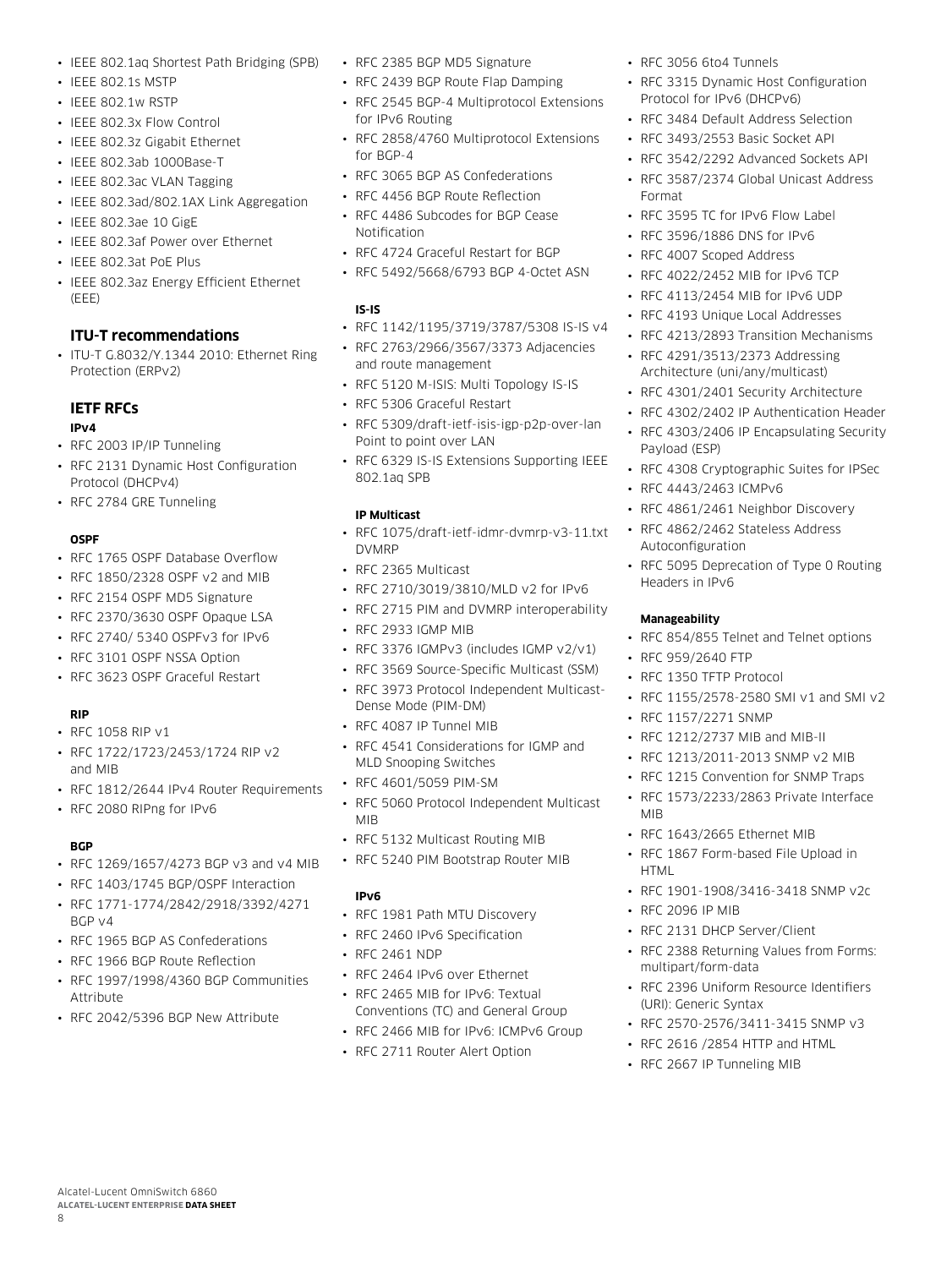- IEEE 802.1aq Shortest Path Bridging (SPB)
- IEEE 802.1s MSTP
- IEEE 802.1w RSTP
- IEEE 802.3x Flow Control
- IEEE 802.3z Gigabit Ethernet
- IEEE 802.3ab 1000Base-T
- IEEE 802.3ac VLAN Tagging
- IEEE 802.3ad/802.1AX Link Aggregation
- IEEE 802.3ae 10 GigE
- IEEE 802.3af Power over Ethernet
- IEEE 802.3at PoE Plus
- IEEE 802.3az Energy Efficient Ethernet (EEE)

#### **ITU-T recommendations**

• ITU-T G.8032/Y.1344 2010: Ethernet Ring Protection (ERPv2)

# **IETF RFCs**

#### **IPv4**

- RFC 2003 IP/IP Tunneling
- RFC 2131 Dynamic Host Configuration Protocol (DHCPv4)
- RFC 2784 GRE Tunneling

#### **OSPF**

- RFC 1765 OSPF Database Overflow
- RFC 1850/2328 OSPF v2 and MIB
- RFC 2154 OSPF MD5 Signature
- RFC 2370/3630 OSPF Opaque LSA
- RFC 2740/ 5340 OSPFv3 for IPv6
- RFC 3101 OSPF NSSA Option
- RFC 3623 OSPF Graceful Restart

#### **RIP**

- RFC 1058 RIP v1
- RFC 1722/1723/2453/1724 RIP v2 and MIB
- RFC 1812/2644 IPv4 Router Requirements
- RFC 2080 RIPng for IPv6

#### **BGP**

8

- RFC 1269/1657/4273 BGP v3 and v4 MIB
- RFC 1403/1745 BGP/OSPF Interaction
- RFC 1771-1774/2842/2918/3392/4271 BGP v4
- RFC 1965 BGP AS Confederations
- RFC 1966 BGP Route Reflection

Alcatel-Lucent OmniSwitch 6860 **ALCATEL-LUCENT ENTERPRISE DATA SHEET**

- RFC 1997/1998/4360 BGP Communities Attribute
- RFC 2042/5396 BGP New Attribute
- RFC 2385 BGP MD5 Signature
- RFC 2439 BGP Route Flap Damping
- RFC 2545 BGP-4 Multiprotocol Extensions for IPv6 Routing
- RFC 2858/4760 Multiprotocol Extensions for BGP-4
- RFC 3065 BGP AS Confederations
- RFC 4456 BGP Route Reflection
- RFC 4486 Subcodes for BGP Cease Notification
- RFC 4724 Graceful Restart for BGP
- RFC 5492/5668/6793 BGP 4-Octet ASN

#### **IS-IS**

- RFC 1142/1195/3719/3787/5308 IS-IS v4
- RFC 2763/2966/3567/3373 Adjacencies and route management
- RFC 5120 M-ISIS: Multi Topology IS-IS
- RFC 5306 Graceful Restart
- RFC 5309/draft-ietf-isis-igp-p2p-over-lan Point to point over LAN
- RFC 6329 IS-IS Extensions Supporting IEEE 802.1aq SPB

#### **IP Multicast**

- RFC 1075/draft-ietf-idmr-dvmrp-v3-11.txt DVMRP
- RFC 2365 Multicast
- RFC 2710/3019/3810/MLD v2 for IPv6
- RFC 2715 PIM and DVMRP interoperability
- RFC 2933 IGMP MIB
- RFC 3376 IGMPv3 (includes IGMP v2/v1)
- RFC 3569 Source-Specific Multicast (SSM)
- RFC 3973 Protocol Independent Multicast-Dense Mode (PIM-DM)
- RFC 4087 IP Tunnel MIB
- RFC 4541 Considerations for IGMP and MLD Snooping Switches
- RFC 4601/5059 PIM-SM
- RFC 5060 Protocol Independent Multicast MIB
- RFC 5132 Multicast Routing MIB
- RFC 5240 PIM Bootstrap Router MIB

#### **IPv6**

- RFC 1981 Path MTU Discovery
- RFC 2460 IPv6 Specification
- RFC 2461 NDP
- RFC 2464 IPv6 over Ethernet
- RFC 2465 MIB for IPv6: Textual Conventions (TC) and General Group
- RFC 2466 MIB for IPv6: ICMPv6 Group
- RFC 2711 Router Alert Option
- RFC 3056 6to4 Tunnels
- RFC 3315 Dynamic Host Configuration Protocol for IPv6 (DHCPv6)
- RFC 3484 Default Address Selection
- RFC 3493/2553 Basic Socket API
- RFC 3542/2292 Advanced Sockets API
- RFC 3587/2374 Global Unicast Address Format
- RFC 3595 TC for IPv6 Flow Label
- RFC 3596/1886 DNS for IPv6
- RFC 4007 Scoped Address
- RFC 4022/2452 MIB for IPv6 TCP
- RFC 4113/2454 MIB for IPv6 UDP
- RFC 4193 Unique Local Addresses
- RFC 4213/2893 Transition Mechanisms
- RFC 4291/3513/2373 Addressing Architecture (uni/any/multicast)
- RFC 4301/2401 Security Architecture
- RFC 4302/2402 IP Authentication Header
- RFC 4303/2406 IP Encapsulating Security Payload (ESP)
- RFC 4308 Cryptographic Suites for IPSec

• RFC 5095 Deprecation of Type 0 Routing

• RFC 854/855 Telnet and Telnet options

• RFC 1155/2578-2580 SMI v1 and SMI v2

• RFC 4443/2463 ICMPv6

Headers in IPv6

• RFC 959/2640 FTP • RFC 1350 TFTP Protocol

• RFC 1157/2271 SNMP

• RFC 1212/2737 MIB and MIB-II • RFC 1213/2011-2013 SNMP v2 MIB • RFC 1215 Convention for SNMP Traps • RFC 1573/2233/2863 Private Interface

• RFC 1643/2665 Ethernet MIB

• RFC 2131 DHCP Server/Client

RFC 1867 Form-based File Upload in

• RFC 1901-1908/3416-3418 SNMP v2c

• RFC 2388 Returning Values from Forms:

• RFC 2396 Uniform Resource Identifiers

• RFC 2570-2576/3411-3415 SNMP v3 • RFC 2616 /2854 HTTP and HTML • RFC 2667 IP Tunneling MIB

**Manageability**

MIB

**HTML** 

• RFC 2096 IP MIB

multipart/form-data

(URI): Generic Syntax

- RFC 4861/2461 Neighbor Discovery
- RFC 4862/2462 Stateless Address Autoconfiguration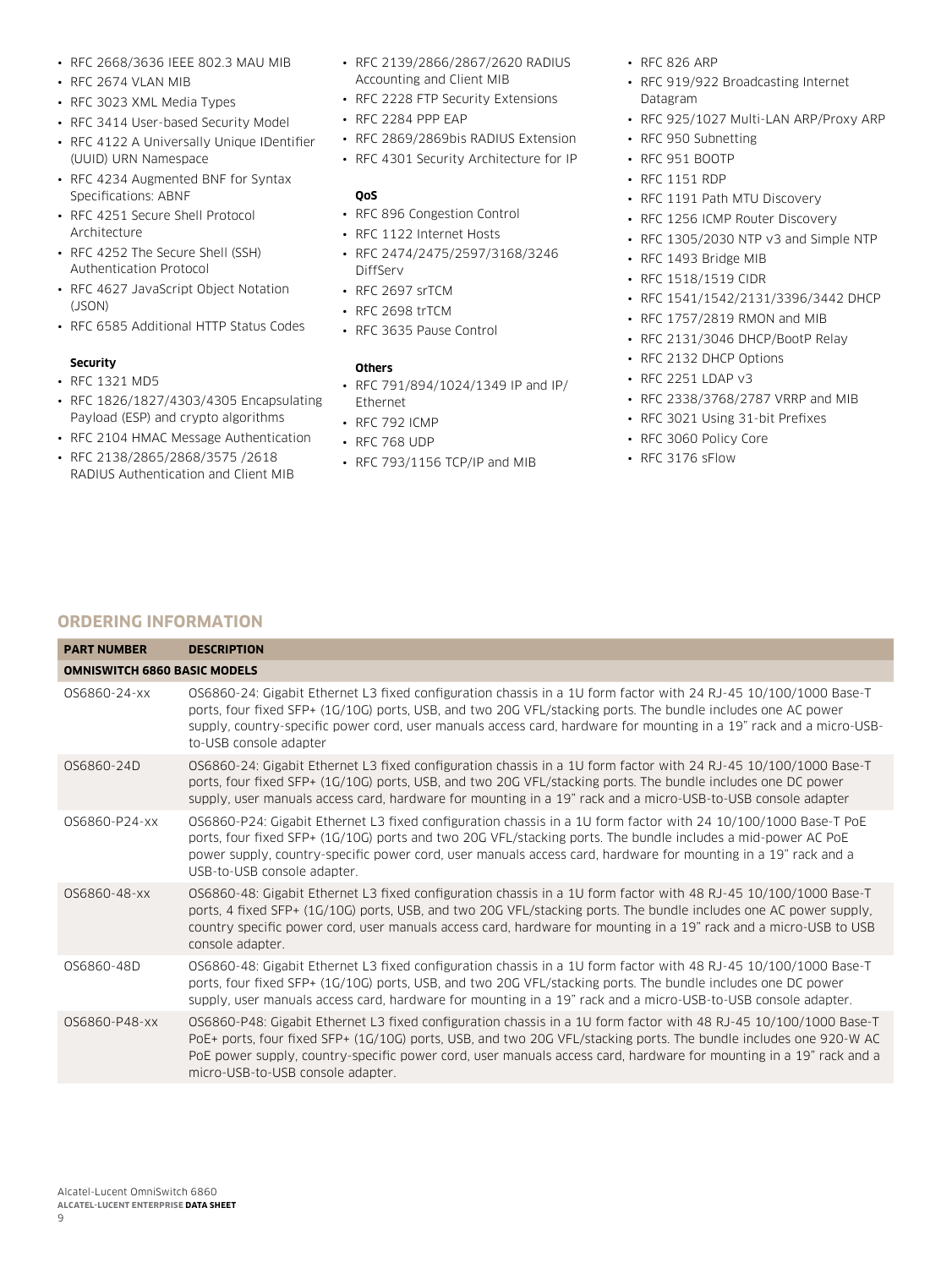- RFC 2668/3636 IEEE 802.3 MAU MIB
- RFC 2674 VLAN MIB
- RFC 3023 XML Media Types
- RFC 3414 User-based Security Model
- RFC 4122 A Universally Unique IDentifier (UUID) URN Namespace
- RFC 4234 Augmented BNF for Syntax Specifications: ABNF
- RFC 4251 Secure Shell Protocol **Architecture**
- RFC 4252 The Secure Shell (SSH) Authentication Protocol
- RFC 4627 JavaScript Object Notation (JSON)
- RFC 6585 Additional HTTP Status Codes

#### **Security**

- RFC 1321 MD5
- RFC 1826/1827/4303/4305 Encapsulating Payload (ESP) and crypto algorithms
- RFC 2104 HMAC Message Authentication
- RFC 2138/2865/2868/3575 /2618 RADIUS Authentication and Client MIB
- RFC 2139/2866/2867/2620 RADIUS Accounting and Client MIB
- RFC 2228 FTP Security Extensions
- RFC 2284 PPP EAP
- RFC 2869/2869bis RADIUS Extension
- RFC 4301 Security Architecture for IP

#### **QoS**

- RFC 896 Congestion Control
- RFC 1122 Internet Hosts
- RFC 2474/2475/2597/3168/3246 DiffServ
- RFC 2697 srTCM
- RFC 2698 trTCM
- RFC 3635 Pause Control

#### **Others**

- RFC 791/894/1024/1349 IP and IP/ Ethernet
- RFC 792 ICMP
- RFC 768 UDP
- RFC 793/1156 TCP/IP and MIB
- RFC 826 ARP
- RFC 919/922 Broadcasting Internet Datagram
- RFC 925/1027 Multi-LAN ARP/Proxy ARP
- RFC 950 Subnetting
- RFC 951 BOOTP
- RFC 1151 RDP
- RFC 1191 Path MTU Discovery
- RFC 1256 ICMP Router Discovery
- RFC 1305/2030 NTP v3 and Simple NTP
- RFC 1493 Bridge MIB
- RFC 1518/1519 CIDR
- RFC 1541/1542/2131/3396/3442 DHCP
- RFC 1757/2819 RMON and MIB
- RFC 2131/3046 DHCP/BootP Relay
- RFC 2132 DHCP Options
- RFC 2251 LDAP v3
- RFC 2338/3768/2787 VRRP and MIB
- RFC 3021 Using 31-bit Prefixes
- RFC 3060 Policy Core
- RFC 3176 sFlow

# **ORDERING INFORMATION**

| <b>PART NUMBER</b>                  | <b>DESCRIPTION</b>                                                                                                                                                                                                                                                                                                                                                                               |
|-------------------------------------|--------------------------------------------------------------------------------------------------------------------------------------------------------------------------------------------------------------------------------------------------------------------------------------------------------------------------------------------------------------------------------------------------|
| <b>OMNISWITCH 6860 BASIC MODELS</b> |                                                                                                                                                                                                                                                                                                                                                                                                  |
| 0S6860-24-xx                        | OS6860-24: Gigabit Ethernet L3 fixed configuration chassis in a 1U form factor with 24 RJ-45 10/100/1000 Base-T<br>ports, four fixed SFP+ (1G/10G) ports, USB, and two 20G VFL/stacking ports. The bundle includes one AC power<br>supply, country-specific power cord, user manuals access card, hardware for mounting in a 19" rack and a micro-USB-<br>to-USB console adapter                 |
| 0S6860-24D                          | OS6860-24: Gigabit Ethernet L3 fixed configuration chassis in a 1U form factor with 24 RJ-45 10/100/1000 Base-T<br>ports, four fixed SFP+ (1G/10G) ports, USB, and two 20G VFL/stacking ports. The bundle includes one DC power<br>supply, user manuals access card, hardware for mounting in a 19" rack and a micro-USB-to-USB console adapter                                                  |
| 0S6860-P24-xx                       | OS6860-P24: Gigabit Ethernet L3 fixed configuration chassis in a 1U form factor with 24 10/100/1000 Base-T PoE<br>ports, four fixed SFP+ (1G/10G) ports and two 20G VFL/stacking ports. The bundle includes a mid-power AC PoE<br>power supply, country-specific power cord, user manuals access card, hardware for mounting in a 19" rack and a<br>USB-to-USB console adapter.                  |
| OS6860-48-xx                        | OS6860-48: Gigabit Ethernet L3 fixed configuration chassis in a 1U form factor with 48 RJ-45 10/100/1000 Base-T<br>ports, 4 fixed SFP+ (1G/10G) ports, USB, and two 20G VFL/stacking ports. The bundle includes one AC power supply,<br>country specific power cord, user manuals access card, hardware for mounting in a 19" rack and a micro-USB to USB<br>console adapter.                    |
| 0S6860-48D                          | OS6860-48: Gigabit Ethernet L3 fixed configuration chassis in a 1U form factor with 48 RJ-45 10/100/1000 Base-T<br>ports, four fixed SFP+ (1G/10G) ports, USB, and two 20G VFL/stacking ports. The bundle includes one DC power<br>supply, user manuals access card, hardware for mounting in a 19" rack and a micro-USB-to-USB console adapter.                                                 |
| 0S6860-P48-xx                       | OS6860-P48: Gigabit Ethernet L3 fixed configuration chassis in a 1U form factor with 48 RJ-45 10/100/1000 Base-T<br>PoE+ ports, four fixed SFP+ (1G/10G) ports, USB, and two 20G VFL/stacking ports. The bundle includes one 920-W AC<br>PoE power supply, country-specific power cord, user manuals access card, hardware for mounting in a 19" rack and a<br>micro-USB-to-USB console adapter. |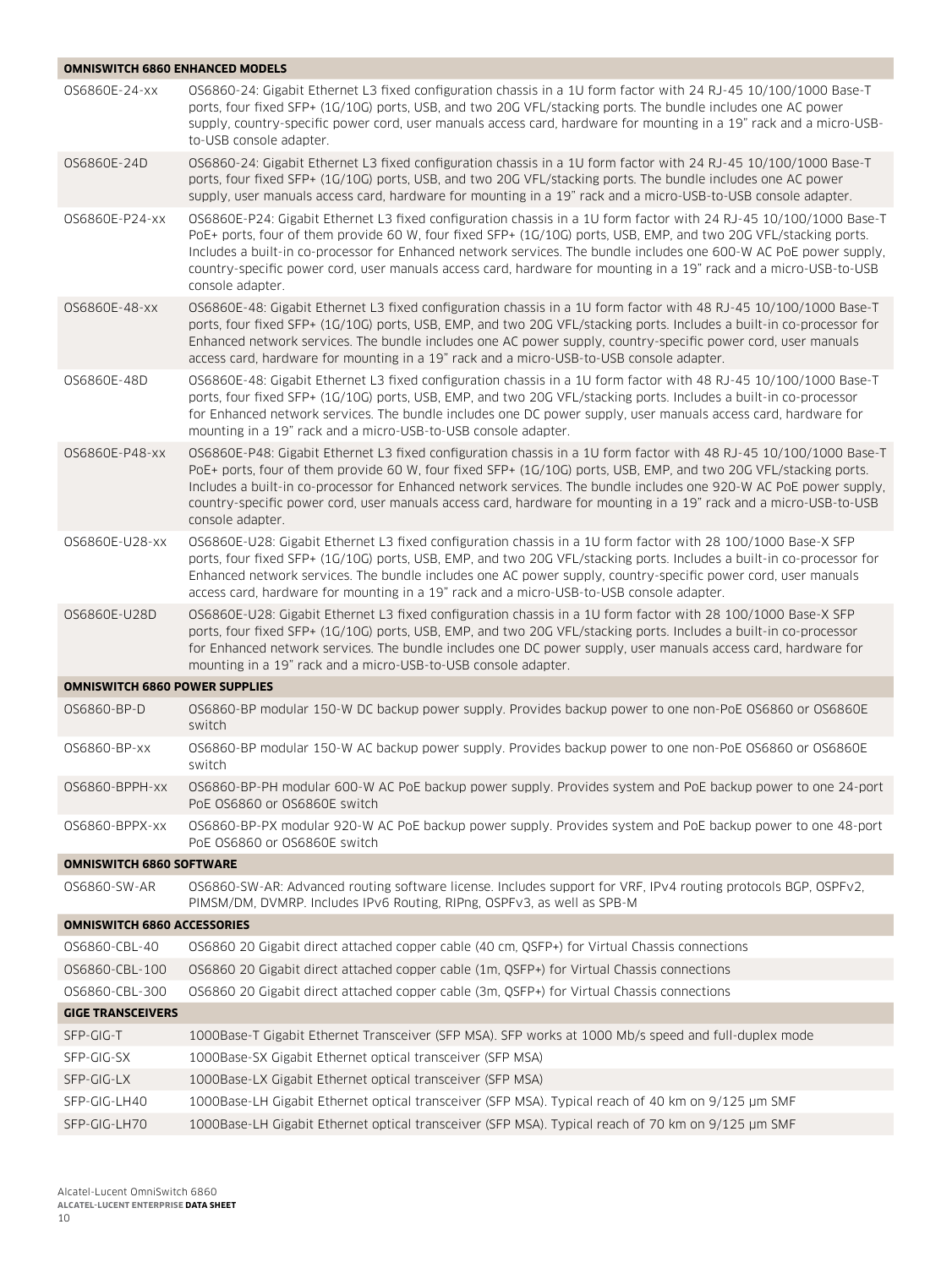| <b>OMNISWITCH 6860 ENHANCED MODELS</b> |                                                                                                                                                                                                                                                                                                                                                                                                                                                                                                      |
|----------------------------------------|------------------------------------------------------------------------------------------------------------------------------------------------------------------------------------------------------------------------------------------------------------------------------------------------------------------------------------------------------------------------------------------------------------------------------------------------------------------------------------------------------|
| 0S6860E-24-xx                          | OS6860-24: Gigabit Ethernet L3 fixed configuration chassis in a 1U form factor with 24 RJ-45 10/100/1000 Base-T<br>ports, four fixed SFP+ (1G/10G) ports, USB, and two 20G VFL/stacking ports. The bundle includes one AC power<br>supply, country-specific power cord, user manuals access card, hardware for mounting in a 19" rack and a micro-USB-<br>to-USB console adapter.                                                                                                                    |
| 0S6860E-24D                            | OS6860-24: Gigabit Ethernet L3 fixed configuration chassis in a 1U form factor with 24 RJ-45 10/100/1000 Base-T<br>ports, four fixed SFP+ (1G/10G) ports, USB, and two 20G VFL/stacking ports. The bundle includes one AC power<br>supply, user manuals access card, hardware for mounting in a 19" rack and a micro-USB-to-USB console adapter.                                                                                                                                                     |
| OS6860E-P24-xx                         | OS6860E-P24: Gigabit Ethernet L3 fixed configuration chassis in a 1U form factor with 24 RJ-45 10/100/1000 Base-T<br>PoE+ ports, four of them provide 60 W, four fixed SFP+ (1G/10G) ports, USB, EMP, and two 20G VFL/stacking ports.<br>Includes a built-in co-processor for Enhanced network services. The bundle includes one 600-W AC PoE power supply,<br>country-specific power cord, user manuals access card, hardware for mounting in a 19" rack and a micro-USB-to-USB<br>console adapter. |
| 0S6860E-48-xx                          | OS6860E-48: Gigabit Ethernet L3 fixed configuration chassis in a 1U form factor with 48 RJ-45 10/100/1000 Base-T<br>ports, four fixed SFP+ (1G/10G) ports, USB, EMP, and two 20G VFL/stacking ports. Includes a built-in co-processor for<br>Enhanced network services. The bundle includes one AC power supply, country-specific power cord, user manuals<br>access card, hardware for mounting in a 19" rack and a micro-USB-to-USB console adapter.                                               |
| OS6860E-48D                            | OS6860E-48: Gigabit Ethernet L3 fixed configuration chassis in a 1U form factor with 48 RJ-45 10/100/1000 Base-T<br>ports, four fixed SFP+ (1G/10G) ports, USB, EMP, and two 20G VFL/stacking ports. Includes a built-in co-processor<br>for Enhanced network services. The bundle includes one DC power supply, user manuals access card, hardware for<br>mounting in a 19" rack and a micro-USB-to-USB console adapter.                                                                            |
| 0S6860E-P48-xx                         | OS6860E-P48: Gigabit Ethernet L3 fixed configuration chassis in a 1U form factor with 48 RJ-45 10/100/1000 Base-T<br>PoE+ ports, four of them provide 60 W, four fixed SFP+ (1G/10G) ports, USB, EMP, and two 20G VFL/stacking ports.<br>Includes a built-in co-processor for Enhanced network services. The bundle includes one 920-W AC PoE power supply,<br>country-specific power cord, user manuals access card, hardware for mounting in a 19" rack and a micro-USB-to-USB<br>console adapter. |
| OS6860E-U28-xx                         | OS6860E-U28: Gigabit Ethernet L3 fixed configuration chassis in a 1U form factor with 28 100/1000 Base-X SFP<br>ports, four fixed SFP+ (1G/10G) ports, USB, EMP, and two 20G VFL/stacking ports. Includes a built-in co-processor for<br>Enhanced network services. The bundle includes one AC power supply, country-specific power cord, user manuals<br>access card, hardware for mounting in a 19" rack and a micro-USB-to-USB console adapter.                                                   |
| 0S6860E-U28D                           | OS6860E-U28: Gigabit Ethernet L3 fixed configuration chassis in a 1U form factor with 28 100/1000 Base-X SFP<br>ports, four fixed SFP+ (1G/10G) ports, USB, EMP, and two 20G VFL/stacking ports. Includes a built-in co-processor<br>for Enhanced network services. The bundle includes one DC power supply, user manuals access card, hardware for<br>mounting in a 19" rack and a micro-USB-to-USB console adapter.                                                                                |
| <b>OMNISWITCH 6860 POWER SUPPLIES</b>  |                                                                                                                                                                                                                                                                                                                                                                                                                                                                                                      |
| 0S6860-BP-D                            | OS6860-BP modular 150-W DC backup power supply. Provides backup power to one non-PoE OS6860 or OS6860E<br>switch                                                                                                                                                                                                                                                                                                                                                                                     |
| 0S6860-BP-xx                           | OS6860-BP modular 150-W AC backup power supply. Provides backup power to one non-PoE OS6860 or OS6860E<br>switch                                                                                                                                                                                                                                                                                                                                                                                     |
| OS6860-BPPH-xx                         | OS6860-BP-PH modular 600-W AC PoE backup power supply. Provides system and PoE backup power to one 24-port<br>PoE 0S6860 or 0S6860E switch                                                                                                                                                                                                                                                                                                                                                           |
| OS6860-BPPX-xx                         | OS6860-BP-PX modular 920-W AC PoE backup power supply. Provides system and PoE backup power to one 48-port<br>PoE 0S6860 or 0S6860E switch                                                                                                                                                                                                                                                                                                                                                           |
| <b>OMNISWITCH 6860 SOFTWARE</b>        |                                                                                                                                                                                                                                                                                                                                                                                                                                                                                                      |
| 0S6860-SW-AR                           | OS6860-SW-AR: Advanced routing software license. Includes support for VRF, IPv4 routing protocols BGP, OSPFv2,<br>PIMSM/DM, DVMRP. Includes IPv6 Routing, RIPng, OSPFv3, as well as SPB-M                                                                                                                                                                                                                                                                                                            |
| <b>OMNISWITCH 6860 ACCESSORIES</b>     |                                                                                                                                                                                                                                                                                                                                                                                                                                                                                                      |
| 0S6860-CBL-40                          | OS6860 20 Gigabit direct attached copper cable (40 cm, QSFP+) for Virtual Chassis connections                                                                                                                                                                                                                                                                                                                                                                                                        |
| 0S6860-CBL-100                         | OS6860 20 Gigabit direct attached copper cable (1m, QSFP+) for Virtual Chassis connections                                                                                                                                                                                                                                                                                                                                                                                                           |
| OS6860-CBL-300                         | OS6860 20 Gigabit direct attached copper cable (3m, QSFP+) for Virtual Chassis connections                                                                                                                                                                                                                                                                                                                                                                                                           |
| <b>GIGE TRANSCEIVERS</b>               |                                                                                                                                                                                                                                                                                                                                                                                                                                                                                                      |
| SFP-GIG-T                              | 1000Base-T Gigabit Ethernet Transceiver (SFP MSA). SFP works at 1000 Mb/s speed and full-duplex mode                                                                                                                                                                                                                                                                                                                                                                                                 |
| SFP-GIG-SX                             | 1000Base-SX Gigabit Ethernet optical transceiver (SFP MSA)                                                                                                                                                                                                                                                                                                                                                                                                                                           |
| SFP-GIG-LX                             | 1000Base-LX Gigabit Ethernet optical transceiver (SFP MSA)                                                                                                                                                                                                                                                                                                                                                                                                                                           |
| SFP-GIG-LH40                           | 1000Base-LH Gigabit Ethernet optical transceiver (SFP MSA). Typical reach of 40 km on 9/125 µm SMF                                                                                                                                                                                                                                                                                                                                                                                                   |
| SFP-GIG-LH70                           | 1000Base-LH Gigabit Ethernet optical transceiver (SFP MSA). Typical reach of 70 km on 9/125 µm SMF                                                                                                                                                                                                                                                                                                                                                                                                   |